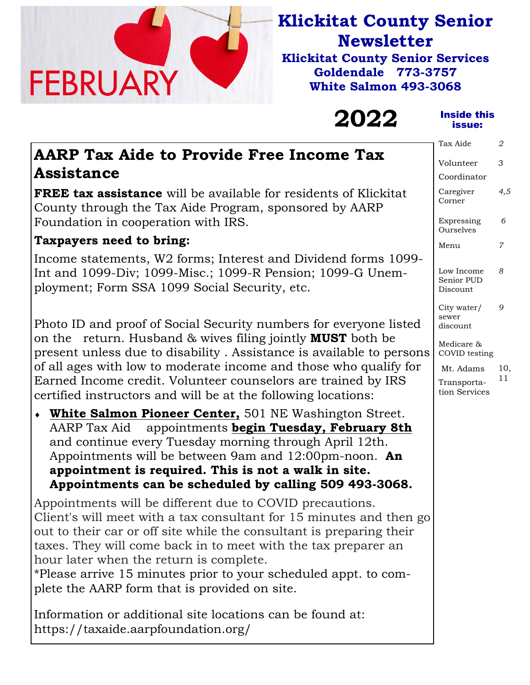

# **Klickitat County Senior Newsletter**

**Klickitat County Senior Services Goldendale 773-3757 White Salmon 493-3068** 

# **2022**

#### Inside this issue:

Tax Aide *2* 

| AARP Tax Aide to Provide Free Income Tax |  |
|------------------------------------------|--|
| <b>Assistance</b>                        |  |

**FREE tax assistance** will be available for residents of Klickitat County through the Tax Aide Program, sponsored by AARP Foundation in cooperation with IRS.

# **Taxpayers need to bring:**

Income statements, W2 forms; Interest and Dividend forms 1099- Int and 1099-Div; 1099-Misc.; 1099-R Pension; 1099-G Unemployment; Form SSA 1099 Social Security, etc.

Photo ID and proof of Social Security numbers for everyone listed on the return. Husband & wives filing jointly **MUST** both be present unless due to disability . Assistance is available to persons of all ages with low to moderate income and those who qualify for Earned Income credit. Volunteer counselors are trained by IRS certified instructors and will be at the following locations:

 **White Salmon Pioneer Center,** 501 NE Washington Street. AARP Tax Aid appointments **begin Tuesday, February 8th**  and continue every Tuesday morning through April 12th. Appointments will be between 9am and 12:00pm-noon. **An appointment is required. This is not a walk in site. Appointments can be scheduled by calling 509 493-3068.** 

Appointments will be different due to COVID precautions. Client's will meet with a tax consultant for 15 minutes and then go out to their car or off site while the consultant is preparing their taxes. They will come back in to meet with the tax preparer an hour later when the return is complete.

\*Please arrive 15 minutes prior to your scheduled appt. to complete the AARP form that is provided on site.

Information or additional site locations can be found at: https://taxaide.aarpfoundation.org/

Caregiver Corner *4,5*  Expressing Ourselves  *6*  Menu *7*  Low Income Senior PUD Discount *8*  City water/ sewer *9*  Volunteer Coordinator 3

Medicare & COVID testing

discount

 Mt. Adams Transportation Services 10, 11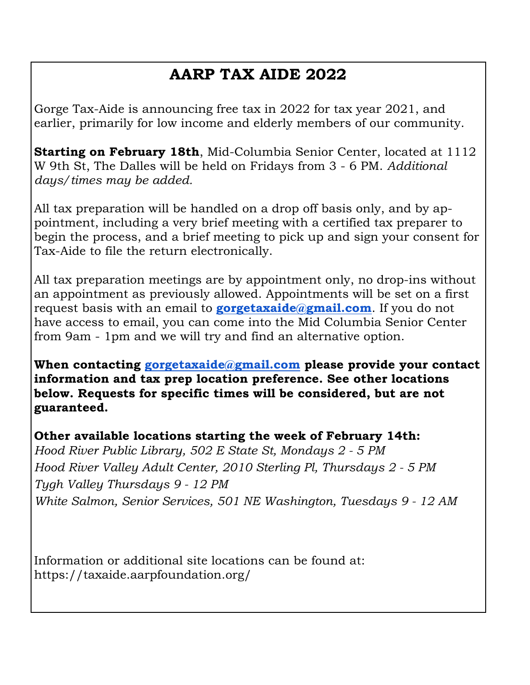# **AARP TAX AIDE 2022**

Gorge Tax-Aide is announcing free tax in 2022 for tax year 2021, and earlier, primarily for low income and elderly members of our community.

**Starting on February 18th**, Mid-Columbia Senior Center, located at 1112 W 9th St, The Dalles will be held on Fridays from 3 - 6 PM. *Additional days/times may be added.* 

All tax preparation will be handled on a drop off basis only, and by appointment, including a very brief meeting with a certified tax preparer to begin the process, and a brief meeting to pick up and sign your consent for Tax-Aide to file the return electronically.

All tax preparation meetings are by appointment only, no drop-ins without an appointment as previously allowed. Appointments will be set on a first request basis with an email to **gorgetaxaide@gmail.com**. If you do not have access to email, you can come into the Mid Columbia Senior Center from 9am - 1pm and we will try and find an alternative option.

**When contacting gorgetaxaide@gmail.com please provide your contact information and tax prep location preference. See other locations below. Requests for specific times will be considered, but are not guaranteed.** 

**Other available locations starting the week of February 14th:** *Hood River Public Library, 502 E State St, Mondays 2 - 5 PM Hood River Valley Adult Center, 2010 Sterling Pl, Thursdays 2 - 5 PM Tygh Valley Thursdays 9 - 12 PM White Salmon, Senior Services, 501 NE Washington, Tuesdays 9 - 12 AM* 

Information or additional site locations can be found at: https://taxaide.aarpfoundation.org/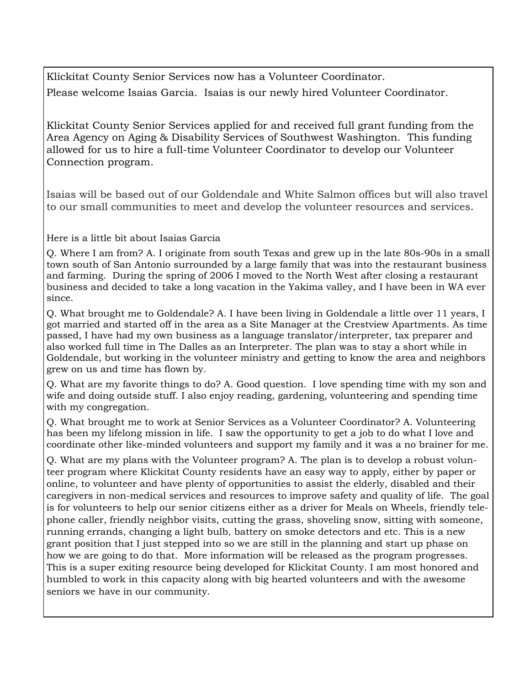Klickitat County Senior Services now has a Volunteer Coordinator. Please welcome Isaias Garcia. Isaias is our newly hired Volunteer Coordinator.

Klickitat County Senior Services applied for and received full grant funding from the Area Agency on Aging & Disability Services of Southwest Washington. This funding allowed for us to hire a full-time Volunteer Coordinator to develop our Volunteer Connection program.

Isaias will be based out of our Goldendale and White Salmon offices but will also travel to our small communities to meet and develop the volunteer resources and services.

Here is a little bit about Isaias Garcia

Q. Where I am from? A. I originate from south Texas and grew up in the late 80s-90s in a small town south of San Antonio surrounded by a large family that was into the restaurant business and farming. During the spring of 2006 I moved to the North West after closing a restaurant business and decided to take a long vacation in the Yakima valley, and I have been in WA ever since.

Q. What brought me to Goldendale? A. I have been living in Goldendale a little over 11 years, I got married and started off in the area as a Site Manager at the Crestview Apartments. As time passed, I have had my own business as a language translator/interpreter, tax preparer and also worked full time in The Dalles as an Interpreter. The plan was to stay a short while in Goldendale, but working in the volunteer ministry and getting to know the area and neighbors grew on us and time has flown by.

Q. What are my favorite things to do? A. Good question. I love spending time with my son and wife and doing outside stuff. I also enjoy reading, gardening, volunteering and spending time with my congregation.

Q. What brought me to work at Senior Services as a Volunteer Coordinator? A. Volunteering has been my lifelong mission in life. I saw the opportunity to get a job to do what I love and coordinate other like-minded volunteers and support my family and it was a no brainer for me.

Q. What are my plans with the Volunteer program? A. The plan is to develop a robust volunteer program where Klickitat County residents have an easy way to apply, either by paper or online, to volunteer and have plenty of opportunities to assist the elderly, disabled and their caregivers in non-medical services and resources to improve safety and quality of life. The goal is for volunteers to help our senior citizens either as a driver for Meals on Wheels, friendly telephone caller, friendly neighbor visits, cutting the grass, shoveling snow, sitting with someone, running errands, changing a light bulb, battery on smoke detectors and etc. This is a new grant position that I just stepped into so we are still in the planning and start up phase on how we are going to do that. More information will be released as the program progresses. This is a super exiting resource being developed for Klickitat County. I am most honored and humbled to work in this capacity along with big hearted volunteers and with the awesome seniors we have in our community.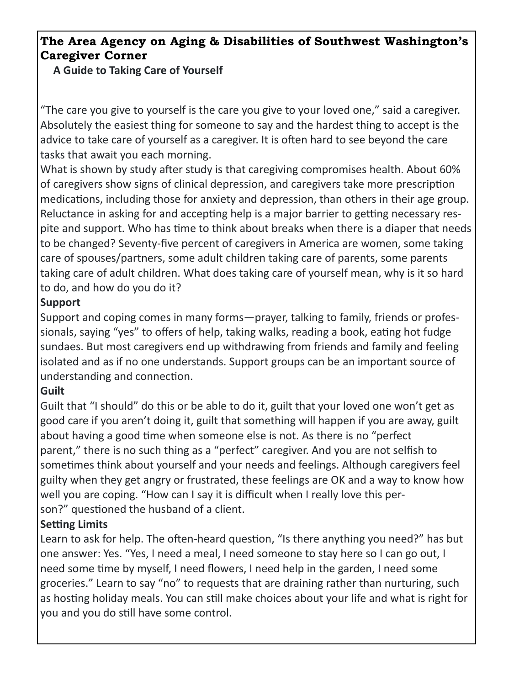### **The Area Agency on Aging & Disabilities of Southwest Washington's Caregiver Corner**

**A Guide to Taking Care of Yourself**

"The care you give to yourself is the care you give to your loved one," said a caregiver. Absolutely the easiest thing for someone to say and the hardest thing to accept is the advice to take care of yourself as a caregiver. It is often hard to see beyond the care tasks that await you each morning.

What is shown by study after study is that caregiving compromises health. About 60% of caregivers show signs of clinical depression, and caregivers take more prescription medications, including those for anxiety and depression, than others in their age group. Reluctance in asking for and accepting help is a major barrier to getting necessary respite and support. Who has time to think about breaks when there is a diaper that needs to be changed? Seventy-five percent of caregivers in America are women, some taking care of spouses/partners, some adult children taking care of parents, some parents taking care of adult children. What does taking care of yourself mean, why is it so hard to do, and how do you do it?

### **Support**

Support and coping comes in many forms—prayer, talking to family, friends or professionals, saying "yes" to offers of help, taking walks, reading a book, eating hot fudge sundaes. But most caregivers end up withdrawing from friends and family and feeling isolated and as if no one understands. Support groups can be an important source of understanding and connection.

### **Guilt**

Guilt that "I should" do this or be able to do it, guilt that your loved one won't get as good care if you aren't doing it, guilt that something will happen if you are away, guilt about having a good time when someone else is not. As there is no "perfect parent," there is no such thing as a "perfect" caregiver. And you are not selfish to sometimes think about yourself and your needs and feelings. Although caregivers feel guilty when they get angry or frustrated, these feelings are OK and a way to know how well you are coping. "How can I say it is difficult when I really love this person?" questioned the husband of a client.

### **Setting Limits**

Learn to ask for help. The often-heard question, "Is there anything you need?" has but one answer: Yes. "Yes, I need a meal, I need someone to stay here so I can go out, I need some time by myself, I need flowers, I need help in the garden, I need some groceries." Learn to say "no" to requests that are draining rather than nurturing, such as hosting holiday meals. You can still make choices about your life and what is right for you and you do still have some control.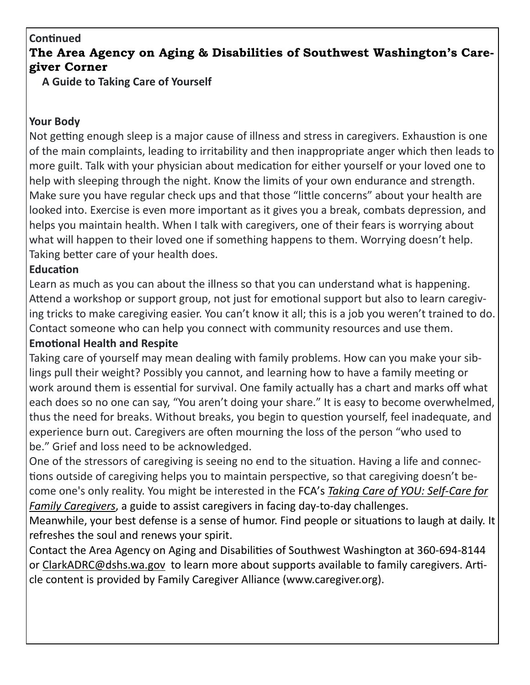### **ConƟnued**

### **The Area Agency on Aging & Disabilities of Southwest Washington's Caregiver Corner**

**A Guide to Taking Care of Yourself**

#### **Your Body**

Not getting enough sleep is a major cause of illness and stress in caregivers. Exhaustion is one of the main complaints, leading to irritability and then inappropriate anger which then leads to more guilt. Talk with your physician about medication for either yourself or your loved one to help with sleeping through the night. Know the limits of your own endurance and strength. Make sure you have regular check ups and that those "little concerns" about your health are looked into. Exercise is even more important as it gives you a break, combats depression, and helps you maintain health. When I talk with caregivers, one of their fears is worrying about what will happen to their loved one if something happens to them. Worrying doesn't help. Taking better care of your health does.

### **EducaƟon**

Learn as much as you can about the illness so that you can understand what is happening. Attend a workshop or support group, not just for emotional support but also to learn caregiving tricks to make caregiving easier. You can't know it all; this is a job you weren't trained to do. Contact someone who can help you connect with community resources and use them.

#### **EmoƟonal Health and Respite**

Taking care of yourself may mean dealing with family problems. How can you make your siblings pull their weight? Possibly you cannot, and learning how to have a family meeting or work around them is essential for survival. One family actually has a chart and marks off what each does so no one can say, "You aren't doing your share." It is easy to become overwhelmed, thus the need for breaks. Without breaks, you begin to question yourself, feel inadequate, and experience burn out. Caregivers are often mourning the loss of the person "who used to be." Grief and loss need to be acknowledged.

One of the stressors of caregiving is seeing no end to the situation. Having a life and connections outside of caregiving helps you to maintain perspective, so that caregiving doesn't become one's only reality. You might be interested in the FCA's *Taking Care of YOU: Self‐Care for Family Caregivers*, a guide to assist caregivers in facing day-to-day challenges.

Meanwhile, your best defense is a sense of humor. Find people or situations to laugh at daily. It refreshes the soul and renews your spirit.

Contact the Area Agency on Aging and Disabilities of Southwest Washington at 360-694-8144 or ClarkADRC@dshs.wa.gov to learn more about supports available to family caregivers. Article content is provided by Family Caregiver Alliance (www.caregiver.org).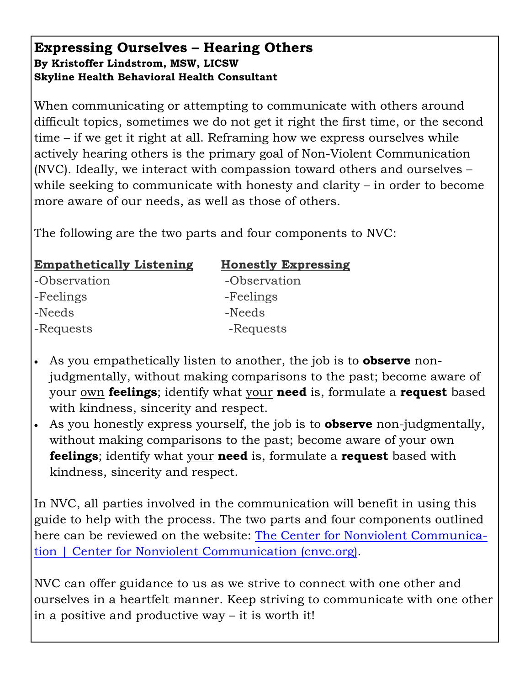### **Expressing Ourselves – Hearing Others By Kristoffer Lindstrom, MSW, LICSW Skyline Health Behavioral Health Consultant**

When communicating or attempting to communicate with others around difficult topics, sometimes we do not get it right the first time, or the second time – if we get it right at all. Reframing how we express ourselves while actively hearing others is the primary goal of Non-Violent Communication (NVC). Ideally, we interact with compassion toward others and ourselves – while seeking to communicate with honesty and clarity – in order to become more aware of our needs, as well as those of others.

The following are the two parts and four components to NVC:

| <b>Empathetically Listening</b> | <b>Honestly Expressing</b> |
|---------------------------------|----------------------------|
| -Observation                    | -Observation               |
| -Feelings                       | -Feelings                  |
| -Needs                          | -Needs                     |
| -Requests                       | -Requests                  |
|                                 |                            |

- As you empathetically listen to another, the job is to **observe** nonjudgmentally, without making comparisons to the past; become aware of your own **feelings**; identify what your **need** is, formulate a **request** based with kindness, sincerity and respect.
- As you honestly express yourself, the job is to **observe** non-judgmentally, without making comparisons to the past; become aware of your own **feelings**; identify what your **need** is, formulate a **request** based with kindness, sincerity and respect.

In NVC, all parties involved in the communication will benefit in using this guide to help with the process. The two parts and four components outlined here can be reviewed on the website: The Center for Nonviolent Communication | Center for Nonviolent Communication (cnvc.org).

NVC can offer guidance to us as we strive to connect with one other and ourselves in a heartfelt manner. Keep striving to communicate with one other in a positive and productive way – it is worth it!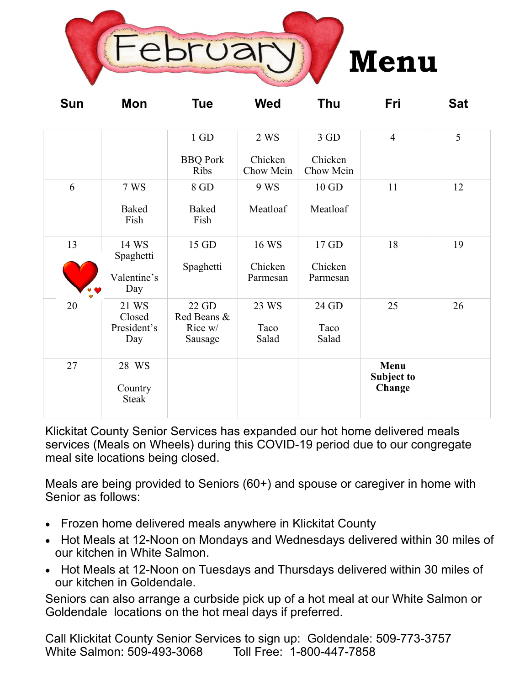

| <b>Sun</b> | Mon                                      | <b>Tue</b>                                         | <b>Wed</b>                   | <b>Thu</b>                     | Fri                                 | <b>Sat</b> |
|------------|------------------------------------------|----------------------------------------------------|------------------------------|--------------------------------|-------------------------------------|------------|
|            |                                          | $1\;\mathrm{GD}$<br><b>BBQ</b> Pork<br><b>Ribs</b> | 2 WS<br>Chicken<br>Chow Mein | $3$ GD<br>Chicken<br>Chow Mein | $\overline{4}$                      | 5          |
| 6          | 7 WS<br><b>Baked</b><br>Fish             | 8 GD<br>Baked<br>Fish                              | 9 WS<br>Meatloaf             | $10$ GD<br>Meatloaf            | 11                                  | 12         |
| 13         | 14 WS<br>Spaghetti<br>Valentine's<br>Day | 15 GD<br>Spaghetti                                 | 16 WS<br>Chicken<br>Parmesan | 17 GD<br>Chicken<br>Parmesan   | 18                                  | 19         |
| 20         | 21 WS<br>Closed<br>President's<br>Day    | 22 GD<br>Red Beans &<br>Rice w/<br>Sausage         | 23 WS<br>Taco<br>Salad       | 24 GD<br>Taco<br>Salad         | 25                                  | 26         |
| 27         | 28 WS<br>Country<br>Steak                |                                                    |                              |                                | Menu<br><b>Subject to</b><br>Change |            |

Klickitat County Senior Services has expanded our hot home delivered meals services (Meals on Wheels) during this COVID-19 period due to our congregate meal site locations being closed.

Meals are being provided to Seniors (60+) and spouse or caregiver in home with Senior as follows:

- Frozen home delivered meals anywhere in Klickitat County
- Hot Meals at 12-Noon on Mondays and Wednesdays delivered within 30 miles of our kitchen in White Salmon.
- Hot Meals at 12-Noon on Tuesdays and Thursdays delivered within 30 miles of our kitchen in Goldendale.

Seniors can also arrange a curbside pick up of a hot meal at our White Salmon or Goldendale locations on the hot meal days if preferred.

Call Klickitat County Senior Services to sign up: Goldendale: 509-773-3757 White Salmon: 509-493-3068 Toll Free: 1-800-447-7858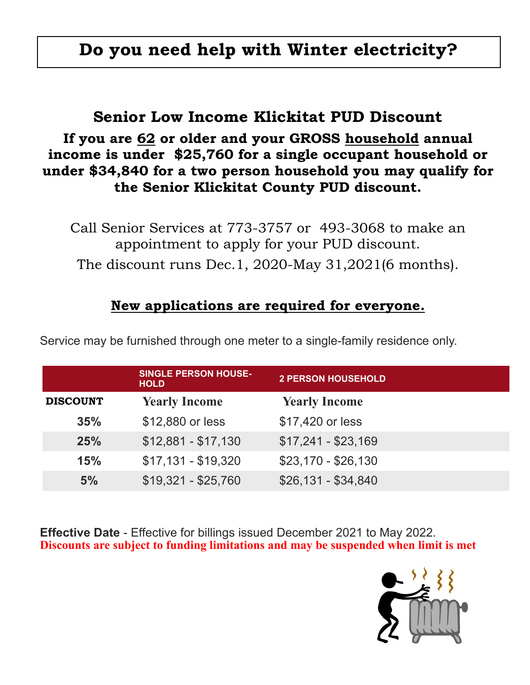# **Do you need help with Winter electricity?**

# **Senior Low Income Klickitat PUD Discount**

# **If you are 62 or older and your GROSS household annual income is under \$25,760 for a single occupant household or under \$34,840 for a two person household you may qualify for the Senior Klickitat County PUD discount.**

Call Senior Services at 773-3757 or 493-3068 to make an appointment to apply for your PUD discount. The discount runs Dec.1, 2020-May 31,2021(6 months).

# **New applications are required for everyone.**

|                 | <b>SINGLE PERSON HOUSE-</b><br><b>HOLD</b> | <b>2 PERSON HOUSEHOLD</b> |
|-----------------|--------------------------------------------|---------------------------|
| <b>DISCOUNT</b> | <b>Yearly Income</b>                       | <b>Yearly Income</b>      |
| 35%             | \$12,880 or less                           | \$17,420 or less          |
| 25%             | $$12,881 - $17,130$                        | $$17,241 - $23,169$       |
| 15%             | $$17,131 - $19,320$                        | $$23,170 - $26,130$       |
| 5%              | $$19,321 - $25,760$                        | $$26,131 - $34,840$       |

Service may be furnished through one meter to a single-family residence only.

**Effective Date** - Effective for billings issued December 2021 to May 2022. **Discounts are subject to funding limitations and may be suspended when limit is met**

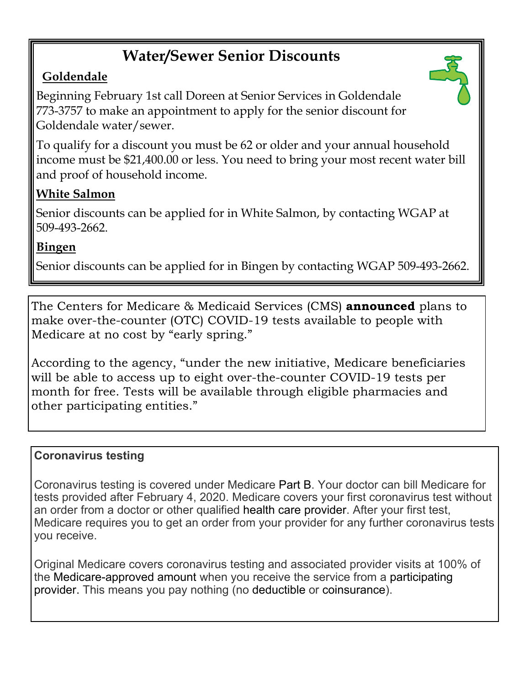# **Water/Sewer Senior Discounts**

# **Goldendale**

Beginning February 1st call Doreen at Senior Services in Goldendale 773-3757 to make an appointment to apply for the senior discount for Goldendale water/sewer.

To qualify for a discount you must be 62 or older and your annual household income must be \$21,400.00 or less. You need to bring your most recent water bill and proof of household income.

# **White Salmon**

Senior discounts can be applied for in White Salmon, by contacting WGAP at 509-493-2662.

# **Bingen**

Senior discounts can be applied for in Bingen by contacting WGAP 509-493-2662.

The Centers for Medicare & Medicaid Services (CMS) **announced** plans to make over-the-counter (OTC) COVID-19 tests available to people with Medicare at no cost by "early spring."

According to the agency, "under the new initiative, Medicare beneficiaries will be able to access up to eight over-the-counter COVID-19 tests per month for free. Tests will be available through eligible pharmacies and other participating entities."

### **Coronavirus testing**

Coronavirus testing is covered under Medicare Part B. Your doctor can bill Medicare for tests provided after February 4, 2020. Medicare covers your first coronavirus test without an order from a doctor or other qualified health care provider. After your first test, Medicare requires you to get an order from your provider for any further coronavirus tests you receive.

Original Medicare covers coronavirus testing and associated provider visits at 100% of the Medicare-approved amount when you receive the service from a participating provider. This means you pay nothing (no deductible or coinsurance).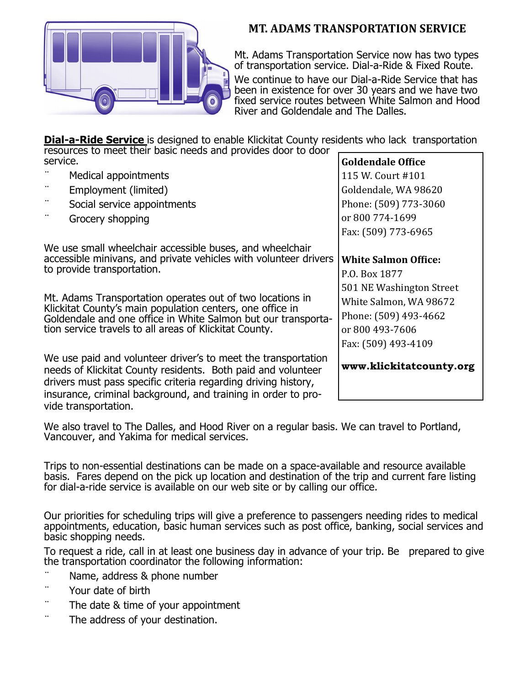

#### **MT. ADAMS TRANSPORTATION SERVICE**

Mt. Adams Transportation Service now has two types of transportation service. Dial-a-Ride & Fixed Route.

We continue to have our Dial-a-Ride Service that has been in existence for over 30 years and we have two fixed service routes between White Salmon and Hood River and Goldendale and The Dalles.

**Dial-a-Ride Service** is designed to enable Klickitat County residents who lack transportation resources to meet their basic needs and provides door to door

| service. |                                                                                                                                                                                                                                                                                                                                                                                                                 | <b>Goldendale Office</b>                                                                                                                                              |
|----------|-----------------------------------------------------------------------------------------------------------------------------------------------------------------------------------------------------------------------------------------------------------------------------------------------------------------------------------------------------------------------------------------------------------------|-----------------------------------------------------------------------------------------------------------------------------------------------------------------------|
|          | Medical appointments                                                                                                                                                                                                                                                                                                                                                                                            | 115 W. Court #101                                                                                                                                                     |
|          | Employment (limited)                                                                                                                                                                                                                                                                                                                                                                                            | Goldendale, WA 98620                                                                                                                                                  |
|          | Social service appointments                                                                                                                                                                                                                                                                                                                                                                                     | Phone: (509) 773-3060                                                                                                                                                 |
| $\cdots$ | Grocery shopping                                                                                                                                                                                                                                                                                                                                                                                                | or 800 774-1699                                                                                                                                                       |
|          |                                                                                                                                                                                                                                                                                                                                                                                                                 | Fax: (509) 773-6965                                                                                                                                                   |
|          | We use small wheelchair accessible buses, and wheelchair<br>accessible minivans, and private vehicles with volunteer drivers<br>to provide transportation.<br>Mt. Adams Transportation operates out of two locations in<br>Klickitat County's main population centers, one office in<br>Goldendale and one office in White Salmon but our transporta-<br>tion service travels to all areas of Klickitat County. | <b>White Salmon Office:</b><br>P.O. Box 1877<br>501 NE Washington Street<br>White Salmon, WA 98672<br>Phone: (509) 493-4662<br>or 800 493-7606<br>Fax: (509) 493-4109 |
|          | We use paid and volunteer driver's to meet the transportation<br>needs of Klickitat County residents. Both paid and volunteer<br>drivers must pass specific criteria regarding driving history,<br>insurance, criminal background, and training in order to pro-<br>vide transportation.                                                                                                                        | www.klickitatcounty.org                                                                                                                                               |

We also travel to The Dalles, and Hood River on a regular basis. We can travel to Portland, Vancouver, and Yakima for medical services.

Trips to non-essential destinations can be made on a space-available and resource available basis. Fares depend on the pick up location and destination of the trip and current fare listing for dial-a-ride service is available on our web site or by calling our office.

Our priorities for scheduling trips will give a preference to passengers needing rides to medical appointments, education, basic human services such as post office, banking, social services and basic shopping needs.

To request a ride, call in at least one business day in advance of your trip. Be prepared to give the transportation coordinator the following information:

- Name, address & phone number
- Your date of birth
- The date & time of your appointment
- The address of your destination.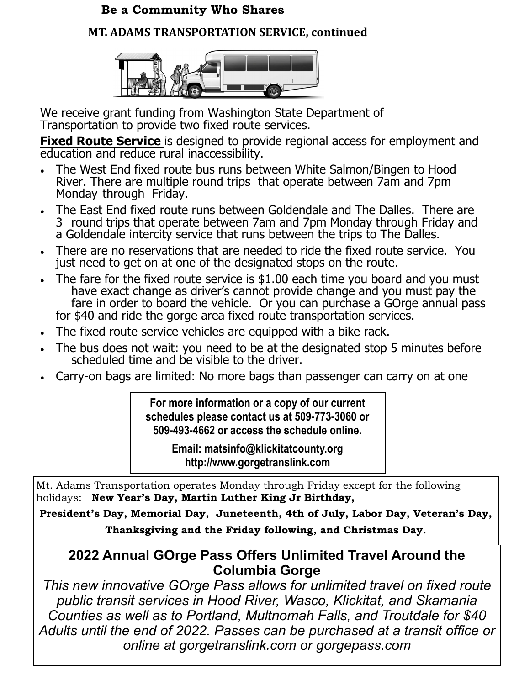### **Be a Community Who Shares**

### **MT. ADAMS TRANSPORTATION SERVICE, continued**



We receive grant funding from Washington State Department of Transportation to provide two fixed route services.

**Fixed Route Service** is designed to provide regional access for employment and education and reduce rural inaccessibility.

- The West End fixed route bus runs between White Salmon/Bingen to Hood River. There are multiple round trips that operate between 7am and 7pm Monday through Friday.
- The East End fixed route runs between Goldendale and The Dalles. There are 3 round trips that operate between 7am and 7pm Monday through Friday and a Goldendale intercity service that runs between the trips to The Dalles.
- There are no reservations that are needed to ride the fixed route service. You just need to get on at one of the designated stops on the route.
- The fare for the fixed route service is \$1.00 each time you board and you must have exact change as driver's cannot provide change and you must pay the fare in order to board the vehicle. Or you can purchase a GOrge annual pass for \$40 and ride the gorge area fixed route transportation services.
- The fixed route service vehicles are equipped with a bike rack.
- The bus does not wait: you need to be at the designated stop 5 minutes before scheduled time and be visible to the driver.
- Carry-on bags are limited: No more bags than passenger can carry on at one

**For more information or a copy of our current schedules please contact us at 509-773-3060 or 509-493-4662 or access the schedule online.** 

> **Email: matsinfo@klickitatcounty.org http://www.gorgetranslink.com**

Mt. Adams Transportation operates Monday through Friday except for the following holidays: **New Year's Day, Martin Luther King Jr Birthday,** 

**President's Day, Memorial Day, Juneteenth, 4th of July, Labor Day, Veteran's Day, Thanksgiving and the Friday following, and Christmas Day.** 

# **2022 Annual GOrge Pass Offers Unlimited Travel Around the Columbia Gorge**

*This new innovative GOrge Pass allows for unlimited travel on fixed route public transit services in Hood River, Wasco, Klickitat, and Skamania Counties as well as to Portland, Multnomah Falls, and Troutdale for \$40 Adults until the end of 2022. Passes can be purchased at a transit office or online at gorgetranslink.com or gorgepass.com*